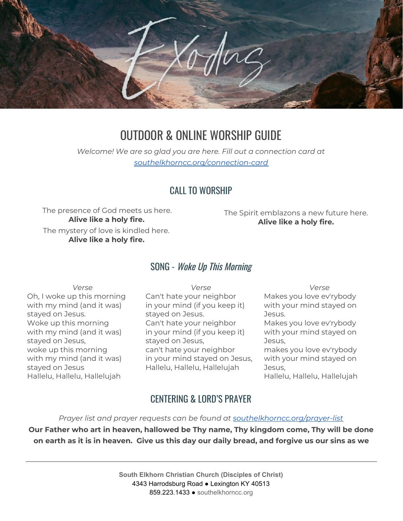

# OUTDOOR & ONLINE WORSHIP GUIDE

*Welcome! We are so glad you are here. Fill out a connection card at [southelkhorncc.org/connection-card](https://www.southelkhorncc.org/connection-card)*

#### CALL TO WORSHIP

The presence of God meets us here. **Alive like a holy fire.**

The mystery of love is kindled here. **Alive like a holy fire.**

The Spirit emblazons a new future here. **Alive like a holy fire.**

#### SONG - Woke Up This Morning

*Verse*

Oh, I woke up this morning with my mind (and it was) stayed on Jesus. Woke up this morning with my mind (and it was) stayed on Jesus, woke up this morning with my mind (and it was) stayed on Jesus Hallelu, Hallelu, Hallelujah

*Verse* Can't hate your neighbor in your mind (if you keep it) stayed on Jesus. Can't hate your neighbor in your mind (if you keep it) stayed on Jesus, can't hate your neighbor in your mind stayed on Jesus, Hallelu, Hallelu, Hallelujah

*Verse* Makes you love ev'rybody with your mind stayed on Jesus. Makes you love ev'rybody with your mind stayed on Jesus, makes you love ev'rybody

with your mind stayed on Jesus,

Hallelu, Hallelu, Hallelujah

#### CENTERING & LORD'S PRAYER

*Prayer list and prayer requests can be found at [southelkhorncc.org/prayer-list](https://www.southelkhorncc.org/prayer-list)*

**Our Father who art in heaven, hallowed be Thy name, Thy kingdom come, Thy will be done** on earth as it is in heaven. Give us this day our daily bread, and forgive us our sins as we

> **South Elkhorn Christian Church (Disciples of Christ)** 4343 Harrodsburg Road ● Lexington KY 40513 859.223.1433 ● [southelkhorncc.org](http://www.southelkhorncc.org/)